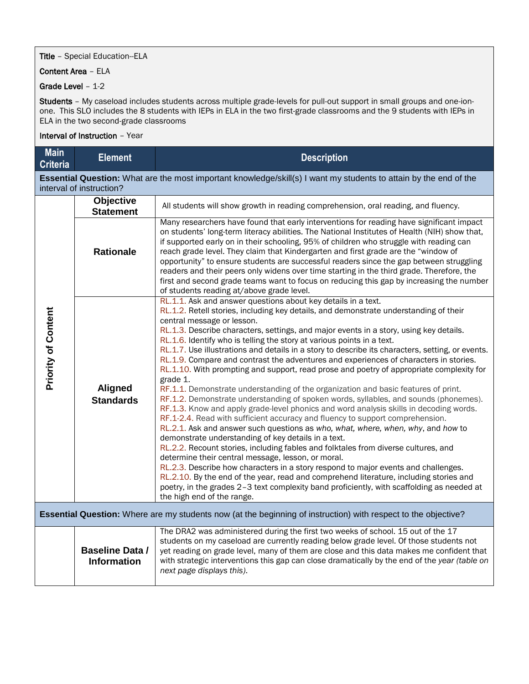## **Title** - Special Education--ELA

## Content Area – ELA

## Grade Level – 1-2

Students - My caseload includes students across multiple grade-levels for pull-out support in small groups and one-ionone. This SLO includes the 8 students with IEPs in ELA in the two first-grade classrooms and the 9 students with IEPs in ELA in the two second-grade classrooms

## Interval of Instruction – Year

| <b>Main</b><br><b>Criteria</b>                                                                                        | <b>Element</b>                               | <b>Description</b>                                                                                                                                                                                                                                                                                                                                                                                                                                                                                                                                                                                                                                                                                                                                                                                                                                                                                                                                                                                                                                                                                                                                                                                                                                                                                                                                                                                                                                                                                                                                                                                                        |  |  |  |  |
|-----------------------------------------------------------------------------------------------------------------------|----------------------------------------------|---------------------------------------------------------------------------------------------------------------------------------------------------------------------------------------------------------------------------------------------------------------------------------------------------------------------------------------------------------------------------------------------------------------------------------------------------------------------------------------------------------------------------------------------------------------------------------------------------------------------------------------------------------------------------------------------------------------------------------------------------------------------------------------------------------------------------------------------------------------------------------------------------------------------------------------------------------------------------------------------------------------------------------------------------------------------------------------------------------------------------------------------------------------------------------------------------------------------------------------------------------------------------------------------------------------------------------------------------------------------------------------------------------------------------------------------------------------------------------------------------------------------------------------------------------------------------------------------------------------------------|--|--|--|--|
|                                                                                                                       | interval of instruction?                     | Essential Question: What are the most important knowledge/skill(s) I want my students to attain by the end of the                                                                                                                                                                                                                                                                                                                                                                                                                                                                                                                                                                                                                                                                                                                                                                                                                                                                                                                                                                                                                                                                                                                                                                                                                                                                                                                                                                                                                                                                                                         |  |  |  |  |
| <b>Priority of Content</b>                                                                                            | Objective<br><b>Statement</b>                | All students will show growth in reading comprehension, oral reading, and fluency.                                                                                                                                                                                                                                                                                                                                                                                                                                                                                                                                                                                                                                                                                                                                                                                                                                                                                                                                                                                                                                                                                                                                                                                                                                                                                                                                                                                                                                                                                                                                        |  |  |  |  |
|                                                                                                                       | <b>Rationale</b>                             | Many researchers have found that early interventions for reading have significant impact<br>on students' long-term literacy abilities. The National Institutes of Health (NIH) show that,<br>if supported early on in their schooling, 95% of children who struggle with reading can<br>reach grade level. They claim that Kindergarten and first grade are the "window of<br>opportunity" to ensure students are successful readers since the gap between struggling<br>readers and their peers only widens over time starting in the third grade. Therefore, the<br>first and second grade teams want to focus on reducing this gap by increasing the number<br>of students reading at/above grade level.                                                                                                                                                                                                                                                                                                                                                                                                                                                                                                                                                                                                                                                                                                                                                                                                                                                                                                               |  |  |  |  |
|                                                                                                                       | <b>Aligned</b><br><b>Standards</b>           | RL.1.1. Ask and answer questions about key details in a text.<br>RL.1.2. Retell stories, including key details, and demonstrate understanding of their<br>central message or lesson.<br>RL.1.3. Describe characters, settings, and major events in a story, using key details.<br>RL.1.6. Identify who is telling the story at various points in a text.<br>RL.1.7. Use illustrations and details in a story to describe its characters, setting, or events.<br>RL.1.9. Compare and contrast the adventures and experiences of characters in stories.<br>RL.1.10. With prompting and support, read prose and poetry of appropriate complexity for<br>grade 1.<br>RF.1.1. Demonstrate understanding of the organization and basic features of print.<br>RF.1.2. Demonstrate understanding of spoken words, syllables, and sounds (phonemes).<br>RF.1.3. Know and apply grade-level phonics and word analysis skills in decoding words.<br>RF.1-2.4. Read with sufficient accuracy and fluency to support comprehension.<br>RL.2.1. Ask and answer such questions as who, what, where, when, why, and how to<br>demonstrate understanding of key details in a text.<br>RL.2.2. Recount stories, including fables and folktales from diverse cultures, and<br>determine their central message, lesson, or moral.<br>RL.2.3. Describe how characters in a story respond to major events and challenges.<br>RL.2.10. By the end of the year, read and comprehend literature, including stories and<br>poetry, in the grades 2-3 text complexity band proficiently, with scaffolding as needed at<br>the high end of the range. |  |  |  |  |
| <b>Essential Question:</b> Where are my students now (at the beginning of instruction) with respect to the objective? |                                              |                                                                                                                                                                                                                                                                                                                                                                                                                                                                                                                                                                                                                                                                                                                                                                                                                                                                                                                                                                                                                                                                                                                                                                                                                                                                                                                                                                                                                                                                                                                                                                                                                           |  |  |  |  |
|                                                                                                                       | <b>Baseline Data /</b><br><b>Information</b> | The DRA2 was administered during the first two weeks of school. 15 out of the 17<br>students on my caseload are currently reading below grade level. Of those students not<br>yet reading on grade level, many of them are close and this data makes me confident that<br>with strategic interventions this gap can close dramatically by the end of the year (table on<br>next page displays this).                                                                                                                                                                                                                                                                                                                                                                                                                                                                                                                                                                                                                                                                                                                                                                                                                                                                                                                                                                                                                                                                                                                                                                                                                      |  |  |  |  |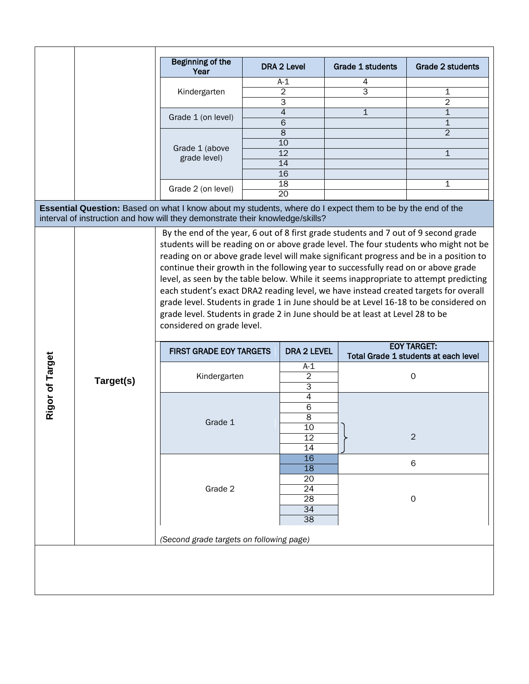|                                                                                                                                                                                             |           | <b>Beginning of the</b><br>Year                                                                                                                                                                                                                                                                                                                                                                                                                                                                                                                                                                                                                               |  | <b>DRA 2 Level</b>                                                        | <b>Grade 1 students</b> |                                                            | <b>Grade 2 students</b> |  |  |
|---------------------------------------------------------------------------------------------------------------------------------------------------------------------------------------------|-----------|---------------------------------------------------------------------------------------------------------------------------------------------------------------------------------------------------------------------------------------------------------------------------------------------------------------------------------------------------------------------------------------------------------------------------------------------------------------------------------------------------------------------------------------------------------------------------------------------------------------------------------------------------------------|--|---------------------------------------------------------------------------|-------------------------|------------------------------------------------------------|-------------------------|--|--|
|                                                                                                                                                                                             |           |                                                                                                                                                                                                                                                                                                                                                                                                                                                                                                                                                                                                                                                               |  | $A-1$                                                                     | 4                       |                                                            |                         |  |  |
|                                                                                                                                                                                             |           | Kindergarten                                                                                                                                                                                                                                                                                                                                                                                                                                                                                                                                                                                                                                                  |  | $\overline{2}$                                                            | 3                       |                                                            | 1                       |  |  |
|                                                                                                                                                                                             |           |                                                                                                                                                                                                                                                                                                                                                                                                                                                                                                                                                                                                                                                               |  | 3                                                                         |                         |                                                            | $\overline{2}$          |  |  |
|                                                                                                                                                                                             |           | Grade 1 (on level)                                                                                                                                                                                                                                                                                                                                                                                                                                                                                                                                                                                                                                            |  | 4                                                                         | $\mathbf{1}$            |                                                            | $\mathbf{1}$            |  |  |
|                                                                                                                                                                                             |           |                                                                                                                                                                                                                                                                                                                                                                                                                                                                                                                                                                                                                                                               |  | 6                                                                         |                         |                                                            | 1                       |  |  |
|                                                                                                                                                                                             |           | Grade 1 (above<br>grade level)                                                                                                                                                                                                                                                                                                                                                                                                                                                                                                                                                                                                                                |  | 8                                                                         |                         |                                                            | $\overline{2}$          |  |  |
|                                                                                                                                                                                             |           |                                                                                                                                                                                                                                                                                                                                                                                                                                                                                                                                                                                                                                                               |  | 10                                                                        |                         |                                                            |                         |  |  |
|                                                                                                                                                                                             |           |                                                                                                                                                                                                                                                                                                                                                                                                                                                                                                                                                                                                                                                               |  | 12                                                                        |                         |                                                            | $\mathbf{1}$            |  |  |
|                                                                                                                                                                                             |           |                                                                                                                                                                                                                                                                                                                                                                                                                                                                                                                                                                                                                                                               |  | 14                                                                        |                         |                                                            |                         |  |  |
|                                                                                                                                                                                             |           |                                                                                                                                                                                                                                                                                                                                                                                                                                                                                                                                                                                                                                                               |  | 16                                                                        |                         |                                                            |                         |  |  |
|                                                                                                                                                                                             |           | Grade 2 (on level)                                                                                                                                                                                                                                                                                                                                                                                                                                                                                                                                                                                                                                            |  | $\overline{18}$                                                           |                         |                                                            | 1                       |  |  |
|                                                                                                                                                                                             |           |                                                                                                                                                                                                                                                                                                                                                                                                                                                                                                                                                                                                                                                               |  | $\overline{20}$                                                           |                         |                                                            |                         |  |  |
| Essential Question: Based on what I know about my students, where do I expect them to be by the end of the<br>interval of instruction and how will they demonstrate their knowledge/skills? |           |                                                                                                                                                                                                                                                                                                                                                                                                                                                                                                                                                                                                                                                               |  |                                                                           |                         |                                                            |                         |  |  |
|                                                                                                                                                                                             | Target(s) | students will be reading on or above grade level. The four students who might not be<br>reading on or above grade level will make significant progress and be in a position to<br>continue their growth in the following year to successfully read on or above grade<br>level, as seen by the table below. While it seems inappropriate to attempt predicting<br>each student's exact DRA2 reading level, we have instead created targets for overall<br>grade level. Students in grade 1 in June should be at Level 16-18 to be considered on<br>grade level. Students in grade 2 in June should be at least at Level 28 to be<br>considered on grade level. |  |                                                                           |                         |                                                            |                         |  |  |
|                                                                                                                                                                                             |           | <b>FIRST GRADE EOY TARGETS</b>                                                                                                                                                                                                                                                                                                                                                                                                                                                                                                                                                                                                                                |  | <b>DRA 2 LEVEL</b>                                                        |                         | <b>EOY TARGET:</b><br>Total Grade 1 students at each level |                         |  |  |
| Rigor of Target                                                                                                                                                                             |           | Kindergarten                                                                                                                                                                                                                                                                                                                                                                                                                                                                                                                                                                                                                                                  |  | A-1<br>2<br>3                                                             |                         |                                                            | $\mathsf O$             |  |  |
|                                                                                                                                                                                             |           | Grade 1                                                                                                                                                                                                                                                                                                                                                                                                                                                                                                                                                                                                                                                       |  | 4<br>6<br>$\overline{\infty}$<br>10<br>$\overline{12}$<br>$\overline{14}$ |                         |                                                            | 2                       |  |  |
|                                                                                                                                                                                             |           | Grade 2                                                                                                                                                                                                                                                                                                                                                                                                                                                                                                                                                                                                                                                       |  | 16<br>18                                                                  |                         |                                                            | $\,6$                   |  |  |
|                                                                                                                                                                                             |           |                                                                                                                                                                                                                                                                                                                                                                                                                                                                                                                                                                                                                                                               |  | 20<br>24<br>$\overline{28}$<br>34<br>$\overline{38}$                      |                         | 0                                                          |                         |  |  |
|                                                                                                                                                                                             |           | (Second grade targets on following page)                                                                                                                                                                                                                                                                                                                                                                                                                                                                                                                                                                                                                      |  |                                                                           |                         |                                                            |                         |  |  |
|                                                                                                                                                                                             |           |                                                                                                                                                                                                                                                                                                                                                                                                                                                                                                                                                                                                                                                               |  |                                                                           |                         |                                                            |                         |  |  |